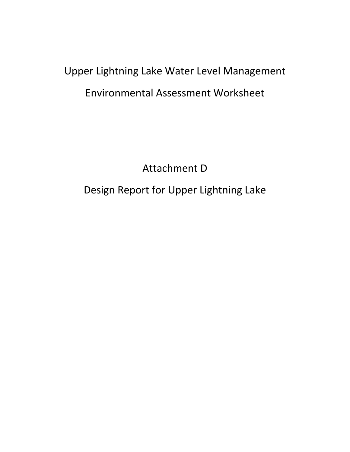# Upper Lightning Lake Water Level Management Environmental Assessment Worksheet

Attachment D

Design Report for Upper Lightning Lake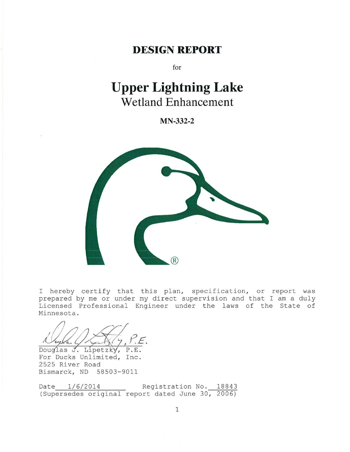### **DESIGN REPORT**

for

## **Upper Lightning Lake Wetland Enhancement**

**MN-332-2** 



I hereby certify that this plan, specification, or report was prepared by me or under my direct supervision and that I am a duly Licensed Professional Engineer under the laws of the State of Minnesota.

Douglas  $J$ . Lipetzky,

For Ducks Unlimited, Inc. 2525 River Road Bismarck, ND 58503-9011

Date  $1/6/2014$  Registration No. 18843 (Supersedes original report dated June 30, 2006)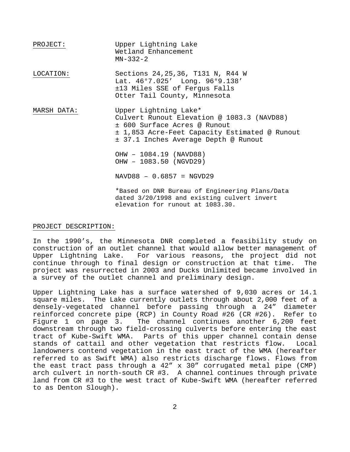PROJECT: LOCATION: **MARSH DATA:**  OHW – 1084.19 (NAVD88) Upper Lightning Lake Wetland Enhancement MN-332-2 Sections 24, 25, 36, T131 N, R44 W Lat. 46°7.025' Long. 96°9.138' ±13 Miles SSE of Fergus Falls Otter Tail County, Minnesota Upper Lightning Lake\* Culvert Runout Elevation @ 1083.3 (NAVD88) ± 600 Surface Acres @ Runout ± 1,853 Acre-Feet Capacity Estimated @ Runout ± 37.1 Inches Average Depth @ Runout OHW – 1083.50 (NGVD29) NAVD88 – 0.6857 = NGVD29 \*Based on DNR Bureau of Engineering Plans/Data dated 3/20/1998 and existing culvert invert elevation for runout at 1083.30.

#### PROJECT DESCRIPTION:

 construction of an outlet channel that would allow better management of In the 1990's, the Minnesota DNR completed a feasibility study on Upper Lightning Lake. For various reasons, the project did not continue through to final design or construction at that time. project was resurrected in 2003 and Ducks Unlimited became involved in a survey of the outlet channel and preliminary design.

 square miles. The Lake currently outlets through about 2,000 feet of a Figure 1 on page 3. Upper Lightning Lake has a surface watershed of 9,030 acres or 14.1 densely-vegetated channel before passing through a 24" diameter reinforced concrete pipe (RCP) in County Road #26 (CR #26). Refer to The channel continues another 6,200 feet downstream through two field-crossing culverts before entering the east tract of Kube-Swift WMA. Parts of this upper channel contain dense<br>stands of cattail and other vegetation that restricts flow. Local stands of cattail and other vegetation that restricts flow. landowners contend vegetation in the east tract of the WMA (hereafter referred to as Swift WMA) also restricts discharge flows. Flows from the east tract pass through a 42" x 30" corrugated metal pipe (CMP) arch culvert in north-south CR #3. A channel continues through private land from CR #3 to the west tract of Kube-Swift WMA (hereafter referred to as Denton Slough).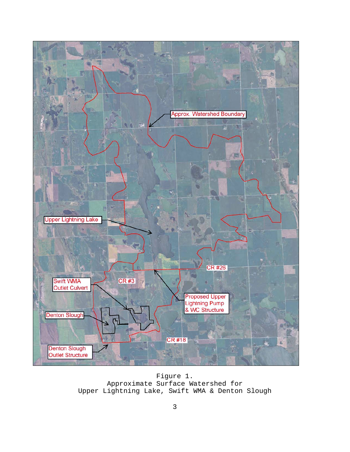

Figure 1. Approximate Surface Watershed for Upper Lightning Lake, Swift WMA & Denton Slough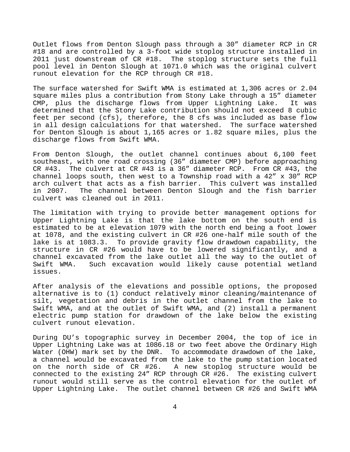Outlet flows from Denton Slough pass through a 30" diameter RCP in CR #18 and are controlled by a 3-foot wide stoplog structure installed in 2011 just downstream of CR #18. The stoplog structure sets the full pool level in Denton Slough at 1071.0 which was the original culvert runout elevation for the RCP through CR #18.

 The surface watershed for Swift WMA is estimated at 1,306 acres or 2.04 square miles plus a contribution from Stony Lake through a 15" diameter CMP, plus the discharge flows from Upper Lightning Lake. It was determined that the Stony Lake contribution should not exceed 8 cubic feet per second (cfs), therefore, the 8 cfs was included as base flow in all design calculations for that watershed. The surface watershed for Denton Slough is about 1,165 acres or 1.82 square miles, plus the discharge flows from Swift WMA.

 southeast, with one road crossing (36" diameter CMP) before approaching CR #43. The culvert at CR #43 is a 36" diameter RCP. From CR #43, the arch culvert that acts as a fish barrier. This culvert was installed From Denton Slough, the outlet channel continues about 6,100 feet channel loops south, then west to a Township road with a 42" x 30" RCP in 2007. The channel between Denton Slough and the fish barrier culvert was cleaned out in 2011.

 estimated to be at elevation 1079 with the north end being a foot lower at 1078, and the existing culvert in CR #26 one-half mile south of the lake is at 1083.3. To provide gravity flow drawdown capability, the The limitation with trying to provide better management options for Upper Lightning Lake is that the lake bottom on the south end is structure in CR #26 would have to be lowered significantly, and a channel excavated from the lake outlet all the way to the outlet of<br>Swift WMA. Such excavation would likely cause potential wetland Such excavation would likely cause potential wetland issues.

 electric pump station for drawdown of the lake below the existing After analysis of the elevations and possible options, the proposed alternative is to (1) conduct relatively minor cleaning/maintenance of silt, vegetation and debris in the outlet channel from the lake to Swift WMA, and at the outlet of Swift WMA, and (2) install a permanent culvert runout elevation.

 Upper Lightning Lake was at 1086.18 or two feet above the Ordinary High a channel would be excavated from the lake to the pump station located connected to the existing 24" RCP through CR #26. The existing culvert During DU's topographic survey in December 2004, the top of ice in Water (OHW) mark set by the DNR. To accommodate drawdown of the lake, on the north side of CR #26. A new stoplog structure would be runout would still serve as the control elevation for the outlet of Upper Lightning Lake. The outlet channel between CR #26 and Swift WMA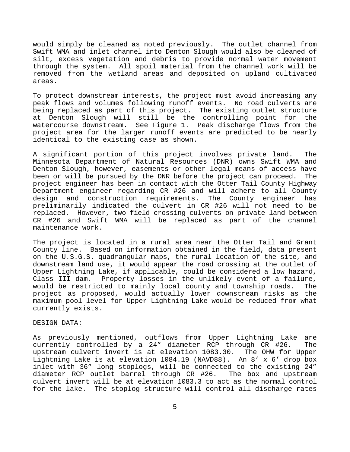Swift WMA and inlet channel into Denton Slough would also be cleaned of through the system. All spoil material from the channel work will be would simply be cleaned as noted previously. The outlet channel from silt, excess vegetation and debris to provide normal water movement removed from the wetland areas and deposited on upland cultivated areas.

 watercourse downstream. See Figure 1. Peak discharge flows from the To protect downstream interests, the project must avoid increasing any peak flows and volumes following runoff events. No road culverts are being replaced as part of this project. The existing outlet structure at Denton Slough will still be the controlling point for the project area for the larger runoff events are predicted to be nearly identical to the existing case as shown.

 been or will be pursued by the DNR before the project can proceed. The project engineer has been in contact with the Otter Tail County Highway replaced. However, two field crossing culverts on private land between A significant portion of this project involves private land. The Minnesota Department of Natural Resources (DNR) owns Swift WMA and Denton Slough, however, easements or other legal means of access have<br>been or will be pursued by the DNR before the project can proceed. The Department engineer regarding CR #26 and will adhere to all County design and construction requirements. The County engineer has preliminarily indicated the culvert in CR #26 will not need to be CR #26 and Swift WMA will be replaced as part of the channel maintenance work.

 on the U.S.G.S. quadrangular maps, the rural location of the site, and downstream land use, it would appear the road crossing at the outlet of The project is located in a rural area near the Otter Tail and Grant County line. Based on information obtained in the field, data present Upper Lightning Lake, if applicable, could be considered a low hazard, Class III dam. Property losses in the unlikely event of a failure,<br>would be restricted to mainly local county and township roads. The would be restricted to mainly local county and township roads. project as proposed, would actually lower downstream risks as the maximum pool level for Upper Lightning Lake would be reduced from what currently exists.

#### DESIGN DATA:

As previously mentioned, outflows from Upper Lightning Lake are currently controlled by a 24" diameter RCP through CR #26. The upstream culvert invert is at elevation 1083.30. Lightning Lake is at elevation 1084.19 (NAVD88). An 8' x 6' drop box inlet with 36" long stoplogs, will be connected to the existing 24" diameter RCP outlet barrel through CR #26. The box and upstream culvert invert will be at elevation 1083.3 to act as the normal control for the lake. The stoplog structure will control all discharge rates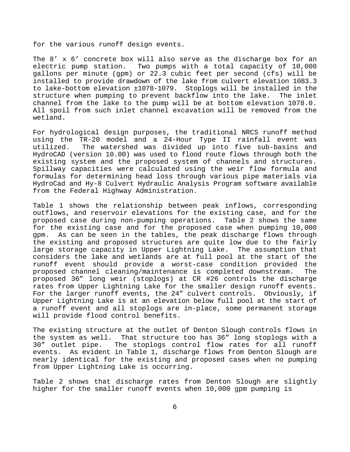for the various runoff design events.

 installed to provide drawdown of the lake from culvert elevation 1083.3 The 8' x 6' concrete box will also serve as the discharge box for an electric pump station. Two pumps with a total capacity of 10,000 gallons per minute (gpm) or 22.3 cubic feet per second (cfs) will be to lake-bottom elevation ±1078-1079. Stoplogs will be installed in the structure when pumping to prevent backflow into the lake. channel from the lake to the pump will be at bottom elevation 1078.0. All spoil from such inlet channel excavation will be removed from the wetland.

 HydroCad and Hy-8 Culvert Hydraulic Analysis Program software available For hydrological design purposes, the traditional NRCS runoff method using the TR-20 model and a 24-Hour Type II rainfall event was<br>utilized. The watershed was divided up into five sub-basins and The watershed was divided up into five sub-basins and HydroCAD (version 10.00) was used to flood route flows through both the existing system and the proposed system of channels and structures. Spillway capacities were calculated using the weir flow formula and formulas for determining head loss through various pipe materials via from the Federal Highway Administration.

 proposed case during non-pumping operations. Table 2 shows the same gpm. For the larger runoff events, the 24" culvert controls. Obviously, if Upper Lightning Lake is at an elevation below full pool at the start of Table 1 shows the relationship between peak inflows, corresponding outflows, and reservoir elevations for the existing case, and for the<br>proposed case during non-pumping operations. Table 2 shows the same for the existing case and for the proposed case when pumping 10,000 As can be seen in the tables, the peak discharge flows through the existing and proposed structures are quite low due to the fairly large storage capacity in Upper Lightning Lake. The assumption that considers the lake and wetlands are at full pool at the start of the runoff event should provide a worst-case condition provided the proposed channel cleaning/maintenance is completed downstream. The proposed 36" long weir (stoplogs) at CR #26 controls the discharge rates from Upper Lightning Lake for the smaller design runoff events. a runoff event and all stoplogs are in-place, some permanent storage will provide flood control benefits.

 The existing structure at the outlet of Denton Slough controls flows in events. As evident in Table 1, discharge flows from Denton Slough are the system as well. That structure too has 36" long stoplogs with a<br>30" outlet pipe. The stoplogs control flow rates for all runoff The stoplogs control flow rates for all runoff nearly identical for the existing and proposed cases when no pumping from Upper Lightning Lake is occurring.

Table 2 shows that discharge rates from Denton Slough are slightly higher for the smaller runoff events when 10,000 gpm pumping is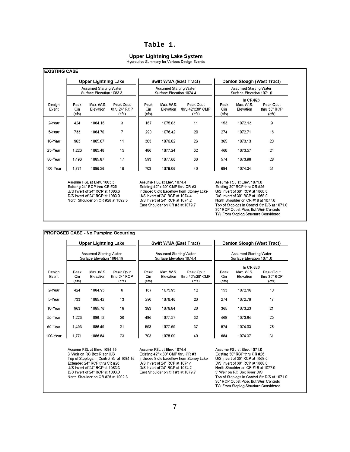#### **Table 1.**

#### **Upper Lightning Lake System**

Hydraulics Summary for Various Design Events

|                 | <b>Upper Lightning Lake</b><br><b>Assumed Starting Water</b><br>Surface Elevation 1083.3 |                        |                                    | Swift WMA (East Tract)<br><b>Assumed Starting Water</b><br>Surface Elevation 1074.4 |                               |                                        | Denton Slough (West Tract)<br><b>Assumed Starting Water</b><br>Surface Elevation 1071.0 |                                       |                                    |
|-----------------|------------------------------------------------------------------------------------------|------------------------|------------------------------------|-------------------------------------------------------------------------------------|-------------------------------|----------------------------------------|-----------------------------------------------------------------------------------------|---------------------------------------|------------------------------------|
|                 |                                                                                          |                        |                                    |                                                                                     |                               |                                        |                                                                                         |                                       |                                    |
| Design<br>Event | Peak<br>Qin<br>(cfs)                                                                     | Max. W.S.<br>Elevation | Peak Qout<br>thru 24" RCP<br>(cfs) | Peak<br>Qin<br>(cfs)                                                                | Max. W.S.<br><b>Elevation</b> | Peak Qout<br>thru 42"x30" CMP<br>(cfs) | Peak<br>Qin<br>(cfs)                                                                    | In $CR$ #26<br>Max. W.S.<br>Elevation | Peak Qout<br>thru 30" RCP<br>(cfs) |
| 2-Year          | 424                                                                                      | 1084.16                | 3                                  | 167                                                                                 | 1075.83                       | 11                                     | 153                                                                                     | 1072.13                               | 9                                  |
| 5-Year          | 733                                                                                      | 1084.70                | 7                                  | 290                                                                                 | 1076.42                       | 20                                     | 274                                                                                     | 1072.71                               | 16                                 |
| 10-Year         | 963                                                                                      | 1085.07                | 11                                 | 383                                                                                 | 1076.82                       | 26                                     | 365                                                                                     | 1073.13                               | 20                                 |
| 25-Year         | 1.223                                                                                    | 1085.48                | 15                                 | 486                                                                                 | 1077.24                       | 32                                     | 468                                                                                     | 1073.57                               | 24                                 |
| 50-Year         | 1.493                                                                                    | 1085.87                | 17                                 | 593                                                                                 | 1077.66                       | 36                                     | 574                                                                                     | 1073.98                               | 28                                 |
| 100-Year        | 1.771                                                                                    | 1086.26                | 19                                 | 703                                                                                 | 1078.06                       | 40                                     | 684                                                                                     | 1074.34                               | 31                                 |

Existing 24" RCP thru CR #26 U/S Invert of 24" RCP at 1083.3 D/S Invert of 24" RCP at 1083.0 North Shoulder on CR #26 at 1092.3 Existing 42" x 30" CMP thru CR #3 Includes 8 cfs baseflow from Stoney Lake U/S Invert of 24" RCP at 1074.4 D/S Invert of 24" RCP at 1074.2 East Shoulder on CR #3 at 1079.7

Existing 30" RCP thru CR #26 U/S Invert of 30" RCP at 1068.0 D/S Invert of 30" RCP at 1068.0 North Shoulder on CR #18 at 1077.0 Top of Stoplogs in Control Str D/S at 1071.0 30" RCP Outlet Pipe, But Weir Controls TW From Stoplog Structure Considered

|                 | <b>Upper Lightning Lake</b> |                                                     |                                    | Swift WMA (East Tract) |                                                           |                                        | Denton Slough (West Tract)                         |                                       |                                    |
|-----------------|-----------------------------|-----------------------------------------------------|------------------------------------|------------------------|-----------------------------------------------------------|----------------------------------------|----------------------------------------------------|---------------------------------------|------------------------------------|
|                 |                             | Assumed Starting Water<br>Surface Elevation 1084.19 |                                    |                        | <b>Assumed Starting Water</b><br>Surface Elevation 1074.4 |                                        | Assumed Starting Water<br>Surface Elevation 1071.0 |                                       |                                    |
| Design<br>Event | Peak<br>Qin<br>(cfs)        | Max. W.S.<br>Elevation                              | Peak Qout<br>thru 24" RCP<br>(cts) | Peak<br>Qin<br>(cts)   | Max. W.S.<br>Elevation                                    | Peak Qout<br>thru 42"x30" CMP<br>(cts) | Peak<br>Qin<br>(cfs)                               | In $CR$ #26<br>Max. W.S.<br>Elevation | Peak Qout<br>thru 30" RCP<br>(cts) |
| 2-Year          | 424                         | 1084.95                                             | 6                                  | 167                    | 1075.95                                                   | 12                                     | 153                                                | 1072.18                               | 10                                 |
| 5-Year          | 733                         | 1085.42                                             | 13                                 | 290                    | 1076.46                                                   | 20                                     | 274                                                | 1072.79                               | 17                                 |
| 10-Year         | 963                         | 1085.76                                             | 18                                 | 383                    | 1076.84                                                   | 26                                     | 365                                                | 1073.23                               | 21                                 |
| 25-Year         | 1,223                       | 1086.12                                             | 20                                 | 486                    | 1077.27                                                   | 32                                     | 468                                                | 1073.64                               | 25                                 |
| 50-Year         | 1,493                       | 1086.49                                             | 21                                 | 593                    | 1077.69                                                   | 37                                     | 574                                                | 1074.03                               | 28                                 |
| 100-Year        | 1,771                       | 1086.84                                             | 23                                 | 703                    | 1078.09                                                   | 40                                     | 684                                                | 1074.37                               | 31                                 |

Assume FSL at Elev. 1084.19 3' Weir on RC Box Riser U/S Top of Stoplogs in Control Str at 1084.19 Extended 24" RCP thru CR #26 U/S Invert of 24" RCP at 1083.3 D/S Invert of 24" RCP at 1083.0 North Shoulder on CR #26 at 1092.3

Assume FSL at Elev. 1074.4 Existing 42" x 30" CMP thru CR #3 Includes 8 cfs baseflow from Stoney Lake U/S Invert of 24" RCP at 1074.4 D/S Invert of 24" RCP at 1074.2 East Shoulder on CR #3 at 1079.7

Assume FSL at Elev. 1071.0 Existing 30" RCP thru CR #26 U/S Invert of 30" RCP at 1068.0 D/S Invert of 30" RCP at 1068.0 North Shoulder on CR #18 at 1077.0 3' Weir on RC Box Riser D/S Top of Stoplogs in Control Str D/S at 1071.0 30" RCP Outlet Pipe, But Weir Controls TW From Stoplog Structure Considered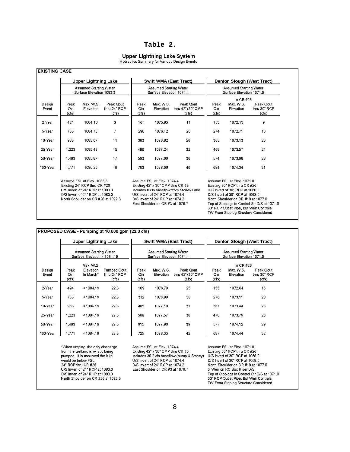#### **Table 2.**

### **Upper Lightning Lake System**<br>Hydraulics Summary for Various Design Events

|                 | <b>Upper Lightning Lake</b><br><b>Assumed Starting Water</b><br>Surface Elevation 1083.3                                                                               |                        |                                    | Swift WMA (East Tract)<br><b>Assumed Starting Water</b><br>Surface Elevation 1074.4 |                                                                                                                                                                                                                              |                                        | Denton Slough (West Tract)<br>Assumed Starting Water<br>Surface Elevation 1071.0 |                                                                                                                                                                                                                                                                                                          |                                    |  |
|-----------------|------------------------------------------------------------------------------------------------------------------------------------------------------------------------|------------------------|------------------------------------|-------------------------------------------------------------------------------------|------------------------------------------------------------------------------------------------------------------------------------------------------------------------------------------------------------------------------|----------------------------------------|----------------------------------------------------------------------------------|----------------------------------------------------------------------------------------------------------------------------------------------------------------------------------------------------------------------------------------------------------------------------------------------------------|------------------------------------|--|
|                 |                                                                                                                                                                        |                        |                                    |                                                                                     |                                                                                                                                                                                                                              |                                        |                                                                                  |                                                                                                                                                                                                                                                                                                          |                                    |  |
| Design<br>Event | Peak<br>Qin<br>(cfs)                                                                                                                                                   | Max. W.S.<br>Elevation | Peak Qout<br>thru 24" RCP<br>(cfs) | Peak<br>Qin<br>(cts)                                                                | Max. W.S.<br>Elevation                                                                                                                                                                                                       | Peak Qout<br>thru 42"x30" CMP<br>(cts) | Peak<br>Qin<br>(cfs)                                                             | In $CR$ #26<br>Max. W.S.<br>Elevation                                                                                                                                                                                                                                                                    | Peak Qout<br>thru 30" RCP<br>(cts) |  |
| 2-Year          | 424                                                                                                                                                                    | 1084.16                | 3                                  | 167                                                                                 | 1075.83                                                                                                                                                                                                                      | 11                                     | 153                                                                              | 1072.13                                                                                                                                                                                                                                                                                                  | $\overline{9}$                     |  |
| 5-Year          | 733                                                                                                                                                                    | 1084.70                | 7                                  | 290                                                                                 | 1076.42                                                                                                                                                                                                                      | 20                                     | 274                                                                              | 1072.71                                                                                                                                                                                                                                                                                                  | 16                                 |  |
| 10-Year         | 963                                                                                                                                                                    | 1085.07                | 11                                 | 383                                                                                 | 1076.82                                                                                                                                                                                                                      | 26                                     | 365                                                                              | 1073.13                                                                                                                                                                                                                                                                                                  | 20                                 |  |
| 25-Year         | 1,223                                                                                                                                                                  | 1085.48                | 15                                 | 486                                                                                 | 1077.24                                                                                                                                                                                                                      | 32                                     | 468                                                                              | 1073.57                                                                                                                                                                                                                                                                                                  | 24                                 |  |
| 50-Year         | 1.493                                                                                                                                                                  | 1085.87                | 17                                 | 593                                                                                 | 1077.66                                                                                                                                                                                                                      | 36                                     | 574                                                                              | 1073.98                                                                                                                                                                                                                                                                                                  | 28                                 |  |
| 100-Year        | 1,771                                                                                                                                                                  | 1086.26                | 19                                 | 703                                                                                 | 1078.06                                                                                                                                                                                                                      | 40                                     | 684                                                                              | 1074.34                                                                                                                                                                                                                                                                                                  | 31                                 |  |
|                 | Assume FSL at Elev. 1083.3<br>Existing 24" RCP thru CR #26<br>U/S Invert of 24" RCP at 1083.3<br>D/S Invert of 24" RCP at 1083.0<br>North Shoulder on CR #26 at 1092.3 |                        |                                    |                                                                                     | Assume FSL at Elev. 1074.4<br>Existing $42" \times 30"$ CMP thru CR #3<br>Includes 8 cfs baseflow from Stoney Lake<br>U/S Invert of 24" RCP at 1074.4<br>D/S Invert of 24" RCP at 1074.2<br>East Shoulder on CR #3 at 1079.7 |                                        |                                                                                  | Assume FSL at Elev. 1071.0<br>Existing 30" RCP thru CR #26<br>U/S Invert of 30" RCP at 1068.0<br>D/S Invert of 30" RCP at 1068.0<br>North Shoulder on CR #18 at 1077.0<br>Top of Stoplogs in Control Str D/S at 1071.0<br>30" RCP Outlet Pipe, But Weir Controls<br>TW From Stoplog Structure Considered |                                    |  |

|                 |                                                                                                                                                                                                                                                                  | <b>Upper Lightning Lake</b>         |                                             |                                                                                                                                                                                                                                | Swift WMA (East Tract) |                                        |                                                                                                                                                                                                                                                                                                                                         |                                       | Denton Slough (West Tract)         |
|-----------------|------------------------------------------------------------------------------------------------------------------------------------------------------------------------------------------------------------------------------------------------------------------|-------------------------------------|---------------------------------------------|--------------------------------------------------------------------------------------------------------------------------------------------------------------------------------------------------------------------------------|------------------------|----------------------------------------|-----------------------------------------------------------------------------------------------------------------------------------------------------------------------------------------------------------------------------------------------------------------------------------------------------------------------------------------|---------------------------------------|------------------------------------|
|                 | <b>Assumed Starting Water</b><br>Surface Elevation < 1084.19                                                                                                                                                                                                     |                                     |                                             | <b>Assumed Starting Water</b><br>Surface Elevation 1074.4                                                                                                                                                                      |                        |                                        | <b>Assumed Starting Water</b><br>Surface Elevation 1071.0                                                                                                                                                                                                                                                                               |                                       |                                    |
| Design<br>Event | Peak<br>Qin<br>(cfs)                                                                                                                                                                                                                                             | Max. W.S.<br>Elevation<br>In Marsh* | <b>Pumped Qout</b><br>thru 24" RCP<br>(cts) | Peak<br>Qin<br>(cts)                                                                                                                                                                                                           | Max. W.S.<br>Elevation | Peak Qout<br>thru 42"x30" CMP<br>(cts) | Peak<br>Qin<br>(cfs)                                                                                                                                                                                                                                                                                                                    | In $CR$ #26<br>Max. W.S.<br>Elevation | Peak Qout<br>thru 30" RCP<br>(cts) |
| 2-Year          | 424                                                                                                                                                                                                                                                              | < 1084.19                           | 22.3                                        | 189                                                                                                                                                                                                                            | 1076.79                | 25                                     | 155                                                                                                                                                                                                                                                                                                                                     | 1072.64                               | 15                                 |
| 5-Year          | 733                                                                                                                                                                                                                                                              | < 1084.19                           | 22.3                                        | 312                                                                                                                                                                                                                            | 1076.99                | 38                                     | 276                                                                                                                                                                                                                                                                                                                                     | 1073.11                               | 20                                 |
| 10-Year         | 963                                                                                                                                                                                                                                                              | < 1084.19                           | 22.3                                        | 405                                                                                                                                                                                                                            | 1077.19                | 31                                     | 367                                                                                                                                                                                                                                                                                                                                     | 1073.44                               | 23                                 |
| 25-Year         | 1,223                                                                                                                                                                                                                                                            | < 1084.19                           | 22.3                                        | 508                                                                                                                                                                                                                            | 1077.57                | 36                                     | 470                                                                                                                                                                                                                                                                                                                                     | 1073.79                               | 26                                 |
| 50-Year         | 1.493                                                                                                                                                                                                                                                            | < 1084.19                           | 22.3                                        | 615                                                                                                                                                                                                                            | 1077.96                | 39                                     | 577                                                                                                                                                                                                                                                                                                                                     | 1074.12                               | 29                                 |
| 100-Year        | 1,771                                                                                                                                                                                                                                                            | < 1084.19                           | 22.3                                        | 725                                                                                                                                                                                                                            | 1078.33                | 42                                     | 687                                                                                                                                                                                                                                                                                                                                     | 1074.44                               | 32                                 |
|                 | *When umping, the only discharge<br>from the wetland is what's being<br>pumped. It is assumed the lake<br>would be below FSL.<br>24" RCP thru CR #26<br>U/S Invert of 24" RCP at 1083.3<br>D/S Invert of 24" RCP at 1083.0<br>North Shoulder on CR #26 at 1092.3 |                                     |                                             | Assume FSL at Elev. 1074.4<br>Existing $42" \times 30"$ CMP thru CR #3<br>Includes 30.2 cfs baseflow (pump & Stoney)<br>U/S Invert of 24" RCP at 1074.4<br>D/S Invert of 24" RCP at 1074.2<br>East Shoulder on CR #3 at 1079.7 |                        |                                        | Assume FSL at Elev. 1071.0<br>Existing 30" RCP thru CR #26<br>U/S Invert of 30" RCP at 1068.0<br>D/S Invert of 30" RCP at 1068.0<br>North Shoulder on CR #18 at 1077.0<br>3' Weir on RC Box Riser D/S<br>Top of Stoplogs in Control Str D/S at 1071.0<br>30" RCP Outlet Pipe, But Weir Controls<br>TW From Stoplog Structure Considered |                                       |                                    |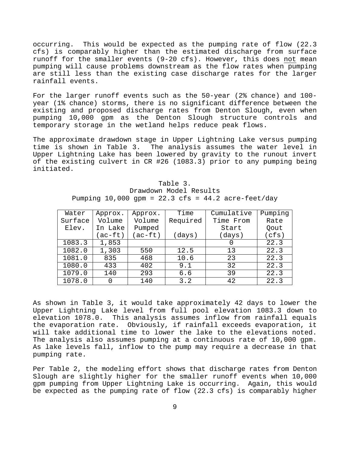occurring. This would be expected as the pumping rate of flow (22.3 cfs) is comparably higher than the estimated discharge from surface runoff for the smaller events (9-20 cfs). However, this does not mean pumping will cause problems downstream as the flow rates when pumping are still less than the existing case discharge rates for the larger rainfall events.

 year (1% chance) storms, there is no significant difference between the For the larger runoff events such as the 50-year (2% chance) and 100 existing and proposed discharge rates from Denton Slough, even when pumping 10,000 gpm as the Denton Slough structure controls and temporary storage in the wetland helps reduce peak flows.

 of the existing culvert in CR #26 (1083.3) prior to any pumping being The approximate drawdown stage in Upper Lightning Lake versus pumping<br>time is shown in Table 3. The analysis assumes the water level in The analysis assumes the water level in Upper Lightning Lake has been lowered by gravity to the runout invert initiated.

| Water   | Approx. | Approx. | Time     | Cumulative | Pumping |
|---------|---------|---------|----------|------------|---------|
| Surface | Volume  | Volume  | Required | Time From  | Rate    |
| Elev.   | In Lake |         |          | Start      | Qout    |
|         | (ac-ft) | (ac-ft) | (days)   | (days)     | (cfs)   |
| 1083.3  | 1,853   |         |          |            | 22.3    |
| 1082.0  | 1,303   | 550     | 12.5     | 13         | 22.3    |
| 1081.0  | 835     | 468     | 10.6     | 23         | 22.3    |
| 1080.0  | 433     | 402     | 9.1      | 32         | 22.3    |
| 1079.0  | 140     | 293     | 6.6      | 39         | 22.3    |
| 1078.0  | O       | 140     | 3.2      | 42         | 22.3    |

Table 3. Drawdown Model Results Pumping 10,000 gpm =  $22.3$  cfs =  $44.2$  acre-feet/day

 As shown in Table 3, it would take approximately 42 days to lower the will take additional time to lower the lake to the elevations noted. As lake levels fall, inflow to the pump may require a decrease in that Upper Lightning Lake level from full pool elevation 1083.3 down to elevation 1078.0. This analysis assumes inflow from rainfall equals the evaporation rate. Obviously, if rainfall exceeds evaporation, it The analysis also assumes pumping at a continuous rate of  $10,000$  gpm. pumping rate.

 be expected as the pumping rate of flow (22.3 cfs) is comparably higher Per Table 2, the modeling effort shows that discharge rates from Denton Slough are slightly higher for the smaller runoff events when 10,000 gpm pumping from Upper Lightning Lake is occurring. Again, this would